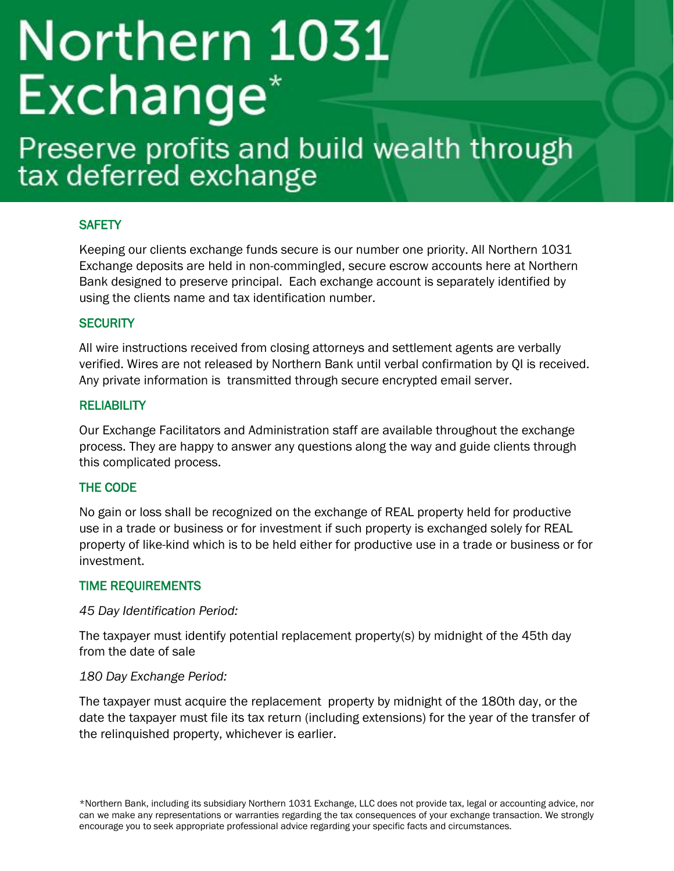# Northern 1031 Exchange<sup>\*</sup>

# Preserve profits and build wealth through<br>tax deferred exchange

### **SAFETY**

Keeping our clients exchange funds secure is our number one priority. All Northern 1031 Exchange deposits are held in non-commingled, secure escrow accounts here at Northern Bank designed to preserve principal. Each exchange account is separately identified by using the clients name and tax identification number.

### **SECURITY**

All wire instructions received from closing attorneys and settlement agents are verbally verified. Wires are not released by Northern Bank until verbal confirmation by QI is received. Any private information is transmitted through secure encrypted email server.

### **RELIABILITY**

Our Exchange Facilitators and Administration staff are available throughout the exchange process. They are happy to answer any questions along the way and guide clients through this complicated process.

### THE CODE

No gain or loss shall be recognized on the exchange of REAL property held for productive use in a trade or business or for investment if such property is exchanged solely for REAL property of like-kind which is to be held either for productive use in a trade or business or for investment.

### TIME REQUIREMENTS

### *45 Day Identification Period:*

The taxpayer must identify potential replacement property(s) by midnight of the 45th day from the date of sale

### *180 Day Exchange Period:*

The taxpayer must acquire the replacement property by midnight of the 180th day, or the date the taxpayer must file its tax return (including extensions) for the year of the transfer of the relinquished property, whichever is earlier.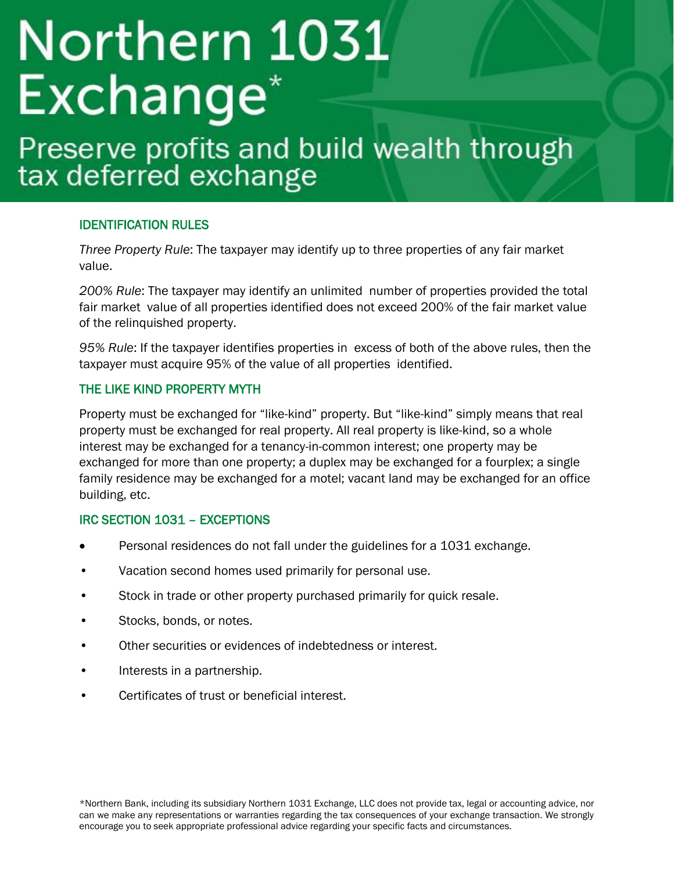# Northern 1031 **Exchange**

# Preserve profits and build wealth through<br>tax deferred exchange

### IDENTIFICATION RULES

*Three Property Rule*: The taxpayer may identify up to three properties of any fair market value.

*200% Rule*: The taxpayer may identify an unlimited number of properties provided the total fair market value of all properties identified does not exceed 200% of the fair market value of the relinquished property.

*95% Rule*: If the taxpayer identifies properties in excess of both of the above rules, then the taxpayer must acquire 95% of the value of all properties identified.

### THE LIKE KIND PROPERTY MYTH

Property must be exchanged for "like-kind" property. But "like-kind" simply means that real property must be exchanged for real property. All real property is like-kind, so a whole interest may be exchanged for a tenancy-in-common interest; one property may be exchanged for more than one property; a duplex may be exchanged for a fourplex; a single family residence may be exchanged for a motel; vacant land may be exchanged for an office building, etc.

### IRC SECTION 1031 – EXCEPTIONS

- Personal residences do not fall under the guidelines for a 1031 exchange.
- Vacation second homes used primarily for personal use.
- Stock in trade or other property purchased primarily for quick resale.
- Stocks, bonds, or notes.
- Other securities or evidences of indebtedness or interest.
- Interests in a partnership.
- Certificates of trust or beneficial interest.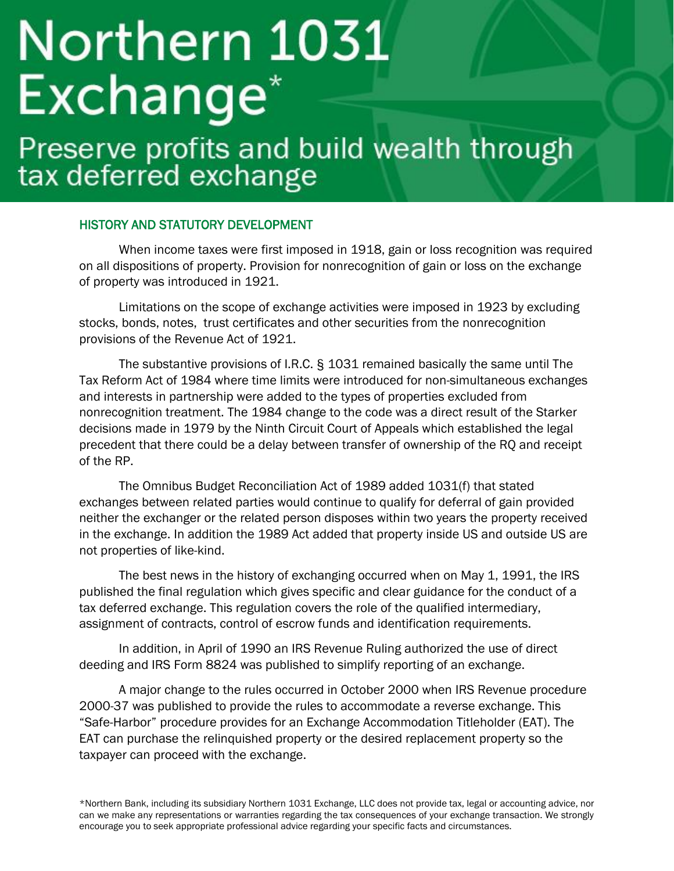## Northern 1031 Exchange<sup>\*</sup>

### Preserve profits and build wealth through tax deferred exchange

### HISTORY AND STATUTORY DEVELOPMENT

When income taxes were first imposed in 1918, gain or loss recognition was required on all dispositions of property. Provision for nonrecognition of gain or loss on the exchange of property was introduced in 1921.

Limitations on the scope of exchange activities were imposed in 1923 by excluding stocks, bonds, notes, trust certificates and other securities from the nonrecognition provisions of the Revenue Act of 1921.

The substantive provisions of I.R.C. § 1031 remained basically the same until The Tax Reform Act of 1984 where time limits were introduced for non-simultaneous exchanges and interests in partnership were added to the types of properties excluded from nonrecognition treatment. The 1984 change to the code was a direct result of the Starker decisions made in 1979 by the Ninth Circuit Court of Appeals which established the legal precedent that there could be a delay between transfer of ownership of the RQ and receipt of the RP.

The Omnibus Budget Reconciliation Act of 1989 added 1031(f) that stated exchanges between related parties would continue to qualify for deferral of gain provided neither the exchanger or the related person disposes within two years the property received in the exchange. In addition the 1989 Act added that property inside US and outside US are not properties of like-kind.

The best news in the history of exchanging occurred when on May 1, 1991, the IRS published the final regulation which gives specific and clear guidance for the conduct of a tax deferred exchange. This regulation covers the role of the qualified intermediary, assignment of contracts, control of escrow funds and identification requirements.

In addition, in April of 1990 an IRS Revenue Ruling authorized the use of direct deeding and IRS Form 8824 was published to simplify reporting of an exchange.

A major change to the rules occurred in October 2000 when IRS Revenue procedure 2000-37 was published to provide the rules to accommodate a reverse exchange. This "Safe-Harbor" procedure provides for an Exchange Accommodation Titleholder (EAT). The EAT can purchase the relinquished property or the desired replacement property so the taxpayer can proceed with the exchange.

\*Northern Bank, including its subsidiary Northern 1031 Exchange, LLC does not provide tax, legal or accounting advice, nor can we make any representations or warranties regarding the tax consequences of your exchange transaction. We strongly encourage you to seek appropriate professional advice regarding your specific facts and circumstances.